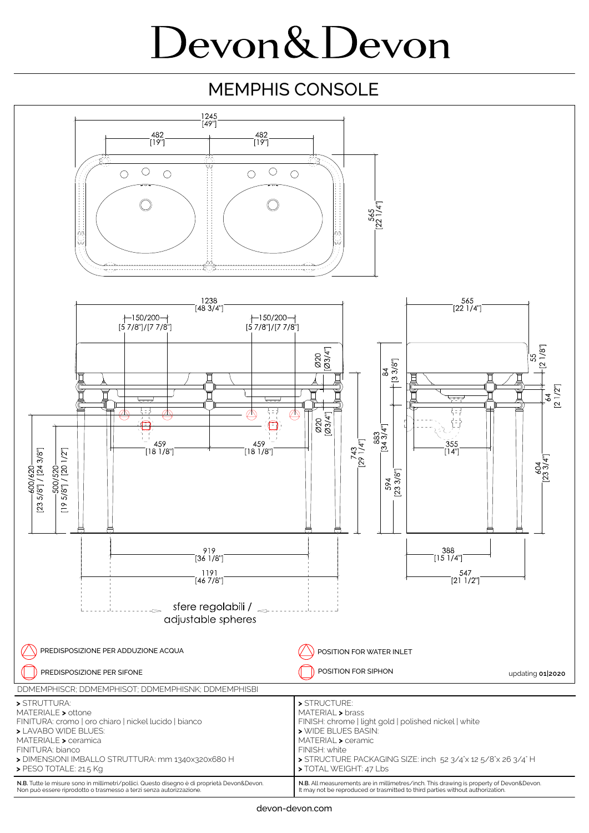## Devon&Devon

## MEMPHIS CONSOLE